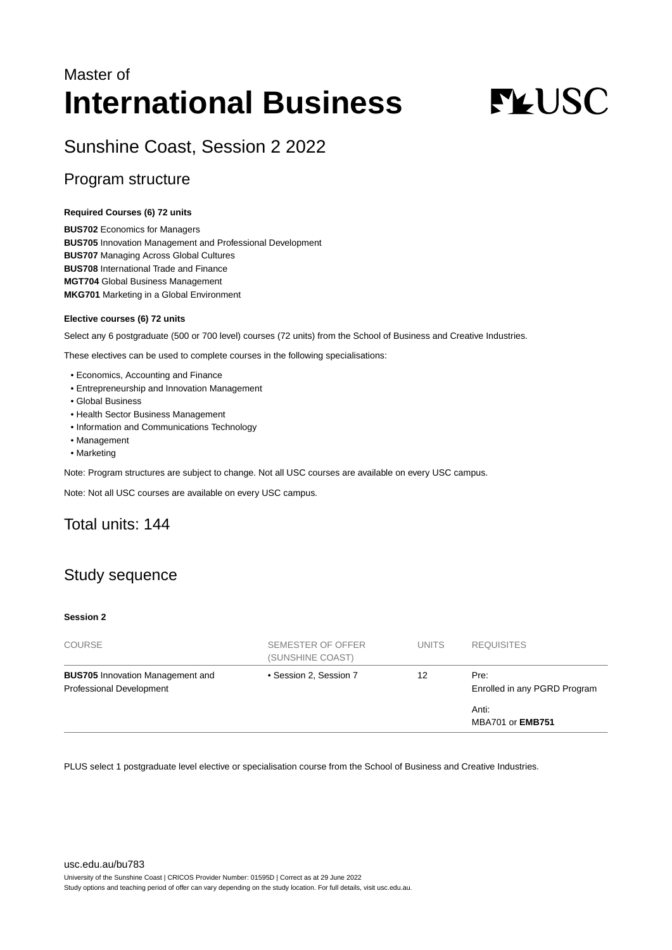## Master of **International Business**

# **FLUSC**

## Sunshine Coast, Session 2 2022

## Program structure

#### **Required Courses (6) 72 units**

**BUS702** Economics for Managers **BUS705** Innovation Management and Professional Development **BUS707** Managing Across Global Cultures **BUS708** International Trade and Finance **MGT704** Global Business Management **MKG701** Marketing in a Global Environment

#### **Elective courses (6) 72 units**

Select any 6 postgraduate (500 or 700 level) courses (72 units) from the School of Business and Creative Industries.

These electives can be used to complete courses in the following specialisations:

- Economics, Accounting and Finance
- Entrepreneurship and Innovation Management
- Global Business
- Health Sector Business Management
- Information and Communications Technology
- Management
- Marketing

Note: Program structures are subject to change. Not all USC courses are available on every USC campus.

Note: Not all USC courses are available on every USC campus.

## Total units: 144

## Study sequence

#### **Session 2**

| <b>COURSE</b>                                                       | SEMESTER OF OFFER<br>(SUNSHINE COAST) | <b>UNITS</b> | <b>REQUISITES</b>                    |
|---------------------------------------------------------------------|---------------------------------------|--------------|--------------------------------------|
| <b>BUS705</b> Innovation Management and<br>Professional Development | • Session 2, Session 7                | 12           | Pre:<br>Enrolled in any PGRD Program |
|                                                                     |                                       |              | Anti:<br><b>MBA701 or EMB751</b>     |

PLUS select 1 postgraduate level elective or specialisation course from the School of Business and Creative Industries.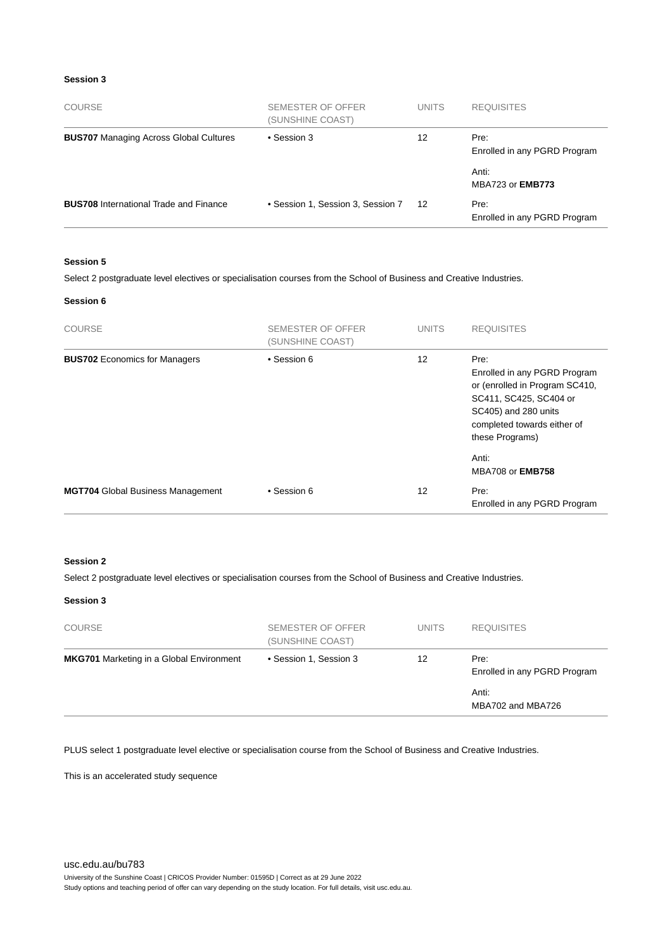#### **Session 3**

| <b>COURSE</b>                                 | SEMESTER OF OFFER<br>(SUNSHINE COAST) | <b>UNITS</b> | <b>REQUISITES</b>                    |
|-----------------------------------------------|---------------------------------------|--------------|--------------------------------------|
| <b>BUS707</b> Managing Across Global Cultures | • Session 3                           | 12           | Pre:<br>Enrolled in any PGRD Program |
|                                               |                                       |              | Anti:<br>MBA723 or <b>EMB773</b>     |
| <b>BUS708</b> International Trade and Finance | • Session 1, Session 3, Session 7     | 12           | Pre:<br>Enrolled in any PGRD Program |

#### **Session 5**

Select 2 postgraduate level electives or specialisation courses from the School of Business and Creative Industries.

#### **Session 6**

| <b>COURSE</b>                            | SEMESTER OF OFFER<br>(SUNSHINE COAST) | <b>UNITS</b> | <b>REQUISITES</b>                                                                                                                                                          |
|------------------------------------------|---------------------------------------|--------------|----------------------------------------------------------------------------------------------------------------------------------------------------------------------------|
| <b>BUS702</b> Economics for Managers     | • Session 6                           | 12           | Pre:<br>Enrolled in any PGRD Program<br>or (enrolled in Program SC410,<br>SC411, SC425, SC404 or<br>SC405) and 280 units<br>completed towards either of<br>these Programs) |
|                                          |                                       |              | Anti:<br><b>MBA708 or EMB758</b>                                                                                                                                           |
| <b>MGT704</b> Global Business Management | • Session 6                           | 12           | Pre:<br>Enrolled in any PGRD Program                                                                                                                                       |

#### **Session 2**

Select 2 postgraduate level electives or specialisation courses from the School of Business and Creative Industries.

#### **Session 3**

| <b>COURSE</b>                                   | SEMESTER OF OFFER<br>(SUNSHINE COAST) | <b>UNITS</b> | <b>REQUISITES</b>                    |
|-------------------------------------------------|---------------------------------------|--------------|--------------------------------------|
| <b>MKG701</b> Marketing in a Global Environment | • Session 1, Session 3                | 12           | Pre:<br>Enrolled in any PGRD Program |
|                                                 |                                       |              | Anti:<br>MBA702 and MBA726           |

PLUS select 1 postgraduate level elective or specialisation course from the School of Business and Creative Industries.

This is an accelerated study sequence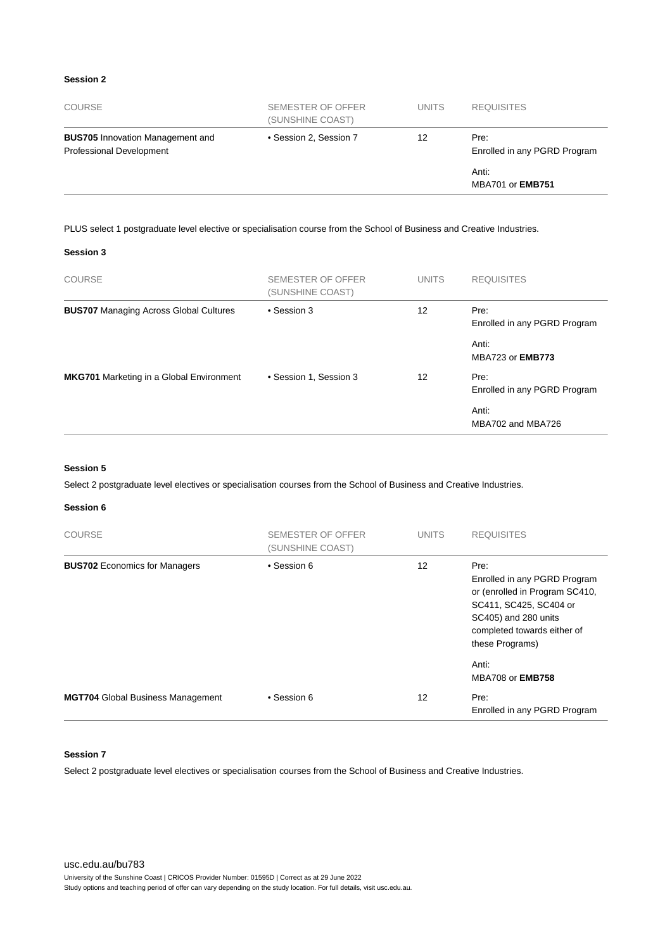#### **Session 2**

| <b>COURSE</b>                                                       | SEMESTER OF OFFER<br>(SUNSHINE COAST) | <b>UNITS</b> | <b>REQUISITES</b>                    |
|---------------------------------------------------------------------|---------------------------------------|--------------|--------------------------------------|
| <b>BUS705</b> Innovation Management and<br>Professional Development | • Session 2, Session 7                | 12           | Pre:<br>Enrolled in any PGRD Program |
|                                                                     |                                       |              | Anti:<br><b>MBA701 or EMB751</b>     |

PLUS select 1 postgraduate level elective or specialisation course from the School of Business and Creative Industries.

#### **Session 3**

| <b>COURSE</b>                                   | SEMESTER OF OFFER<br>(SUNSHINE COAST) | <b>UNITS</b> | <b>REQUISITES</b>                    |
|-------------------------------------------------|---------------------------------------|--------------|--------------------------------------|
| <b>BUS707</b> Managing Across Global Cultures   | • Session 3                           | 12           | Pre:<br>Enrolled in any PGRD Program |
|                                                 |                                       |              | Anti:<br>MBA723 or <b>EMB773</b>     |
| <b>MKG701</b> Marketing in a Global Environment | • Session 1, Session 3                | 12           | Pre:<br>Enrolled in any PGRD Program |
|                                                 |                                       |              | Anti:<br>MBA702 and MBA726           |

#### **Session 5**

Select 2 postgraduate level electives or specialisation courses from the School of Business and Creative Industries.

#### **Session 6**

| <b>COURSE</b>                            | <b>SEMESTER OF OFFER</b><br>(SUNSHINE COAST) | <b>UNITS</b> | <b>REQUISITES</b>                                                                                                                                                          |
|------------------------------------------|----------------------------------------------|--------------|----------------------------------------------------------------------------------------------------------------------------------------------------------------------------|
| <b>BUS702</b> Economics for Managers     | • Session 6                                  | 12           | Pre:<br>Enrolled in any PGRD Program<br>or (enrolled in Program SC410,<br>SC411, SC425, SC404 or<br>SC405) and 280 units<br>completed towards either of<br>these Programs) |
|                                          |                                              |              | Anti:<br><b>MBA708 or EMB758</b>                                                                                                                                           |
| <b>MGT704</b> Global Business Management | • Session 6                                  | 12           | Pre:<br>Enrolled in any PGRD Program                                                                                                                                       |

#### **Session 7**

Select 2 postgraduate level electives or specialisation courses from the School of Business and Creative Industries.